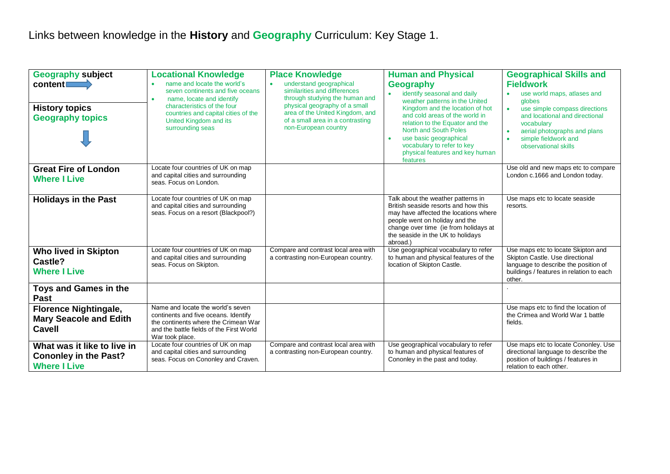Links between knowledge in the **History** and **Geography** Curriculum: Key Stage 1.

| <b>Geography subject</b><br>content<br><b>History topics</b><br><b>Geography topics</b> | <b>Locational Knowledge</b><br>name and locate the world's<br>seven continents and five oceans<br>name, locate and identify<br>$\bullet$<br>characteristics of the four<br>countries and capital cities of the<br>United Kingdom and its<br>surrounding seas | <b>Place Knowledge</b><br>understand geographical<br>similarities and differences<br>through studying the human and<br>physical geography of a small<br>area of the United Kingdom, and<br>of a small area in a contrasting<br>non-European country | <b>Human and Physical</b><br>Geography<br>identify seasonal and daily<br>weather patterns in the United<br>Kingdom and the location of hot<br>and cold areas of the world in<br>relation to the Equator and the<br><b>North and South Poles</b><br>use basic geographical<br>vocabulary to refer to key<br>physical features and key human<br>features | <b>Geographical Skills and</b><br><b>Fieldwork</b><br>use world maps, atlases and<br>$\bullet$<br>globes<br>use simple compass directions<br>$\bullet$<br>and locational and directional<br>vocabulary<br>aerial photographs and plans<br>$\bullet$<br>simple fieldwork and<br>$\bullet$<br>observational skills |
|-----------------------------------------------------------------------------------------|--------------------------------------------------------------------------------------------------------------------------------------------------------------------------------------------------------------------------------------------------------------|-----------------------------------------------------------------------------------------------------------------------------------------------------------------------------------------------------------------------------------------------------|--------------------------------------------------------------------------------------------------------------------------------------------------------------------------------------------------------------------------------------------------------------------------------------------------------------------------------------------------------|------------------------------------------------------------------------------------------------------------------------------------------------------------------------------------------------------------------------------------------------------------------------------------------------------------------|
| <b>Great Fire of London</b><br><b>Where I Live</b>                                      | Locate four countries of UK on map<br>and capital cities and surrounding<br>seas. Focus on London.                                                                                                                                                           |                                                                                                                                                                                                                                                     |                                                                                                                                                                                                                                                                                                                                                        | Use old and new maps etc to compare<br>London c.1666 and London today.                                                                                                                                                                                                                                           |
| <b>Holidays in the Past</b>                                                             | Locate four countries of UK on map<br>and capital cities and surrounding<br>seas. Focus on a resort (Blackpool?)                                                                                                                                             |                                                                                                                                                                                                                                                     | Talk about the weather patterns in<br>British seaside resorts and how this<br>may have affected the locations where<br>people went on holiday and the<br>change over time (ie from holidays at<br>the seaside in the UK to holidays<br>abroad.)                                                                                                        | Use maps etc to locate seaside<br>resorts.                                                                                                                                                                                                                                                                       |
| Who lived in Skipton<br>Castle?<br><b>Where I Live</b>                                  | Locate four countries of UK on map<br>and capital cities and surrounding<br>seas. Focus on Skipton.                                                                                                                                                          | Compare and contrast local area with<br>a contrasting non-European country.                                                                                                                                                                         | Use geographical vocabulary to refer<br>to human and physical features of the<br>location of Skipton Castle.                                                                                                                                                                                                                                           | Use maps etc to locate Skipton and<br>Skipton Castle. Use directional<br>language to describe the position of<br>buildings / features in relation to each<br>other.                                                                                                                                              |
| Toys and Games in the<br>Past                                                           |                                                                                                                                                                                                                                                              |                                                                                                                                                                                                                                                     |                                                                                                                                                                                                                                                                                                                                                        |                                                                                                                                                                                                                                                                                                                  |
| <b>Florence Nightingale,</b><br><b>Mary Seacole and Edith</b><br><b>Cavell</b>          | Name and locate the world's seven<br>continents and five oceans. Identify<br>the continents where the Crimean War<br>and the battle fields of the First World<br>War took place.                                                                             |                                                                                                                                                                                                                                                     |                                                                                                                                                                                                                                                                                                                                                        | Use maps etc to find the location of<br>the Crimea and World War 1 battle<br>fields.                                                                                                                                                                                                                             |
| What was it like to live in<br><b>Cononley in the Past?</b><br><b>Where I Live</b>      | Locate four countries of UK on map<br>and capital cities and surrounding<br>seas. Focus on Cononley and Craven.                                                                                                                                              | Compare and contrast local area with<br>a contrasting non-European country.                                                                                                                                                                         | Use geographical vocabulary to refer<br>to human and physical features of<br>Cononley in the past and today.                                                                                                                                                                                                                                           | Use maps etc to locate Cononley. Use<br>directional language to describe the<br>position of buildings / features in<br>relation to each other.                                                                                                                                                                   |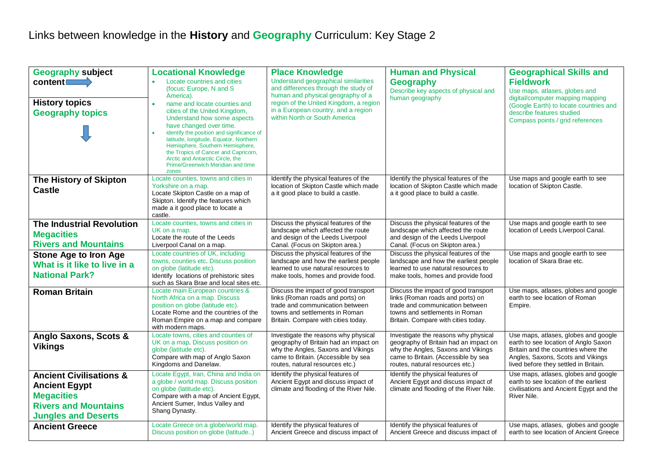## Links between knowledge in the **History** and **Geography** Curriculum: Key Stage 2

| <b>Geography subject</b><br>content <sup>-</sup><br><b>History topics</b><br><b>Geography topics</b>                                         | <b>Locational Knowledge</b><br>Locate countries and cities<br>(focus: Europe, N and S<br>America).<br>name and locate counties and<br>$\bullet$<br>cities of the United Kingdom,<br>Understand how some aspects<br>have changed over time.<br>identify the position and significance of<br>$\bullet$<br>latitude, longitude, Equator, Northern<br>Hemisphere, Southern Hemisphere,<br>the Tropics of Cancer and Capricorn,<br>Arctic and Antarctic Circle, the<br>Prime/Greenwich Meridian and time<br>zones | <b>Place Knowledge</b><br>Understand geographical similarities<br>and differences through the study of<br>human and physical geography of a<br>region of the United Kingdom, a region<br>in a European country, and a region<br>within North or South America | <b>Human and Physical</b><br><b>Geography</b><br>Describe key aspects of physical and<br>human geography                                                                                      | <b>Geographical Skills and</b><br><b>Fieldwork</b><br>Use maps, atlases, globes and<br>digital/computer mapping mapping<br>(Google Earth) to locate countries and<br>describe features studied<br>Compass points / grid references |
|----------------------------------------------------------------------------------------------------------------------------------------------|--------------------------------------------------------------------------------------------------------------------------------------------------------------------------------------------------------------------------------------------------------------------------------------------------------------------------------------------------------------------------------------------------------------------------------------------------------------------------------------------------------------|---------------------------------------------------------------------------------------------------------------------------------------------------------------------------------------------------------------------------------------------------------------|-----------------------------------------------------------------------------------------------------------------------------------------------------------------------------------------------|------------------------------------------------------------------------------------------------------------------------------------------------------------------------------------------------------------------------------------|
| The History of Skipton<br><b>Castle</b>                                                                                                      | Locate counties, towns and cities in<br>Yorkshire on a map.<br>Locate Skipton Castle on a map of<br>Skipton. Identify the features which<br>made a it good place to locate a<br>castle.                                                                                                                                                                                                                                                                                                                      | Identify the physical features of the<br>location of Skipton Castle which made<br>a it good place to build a castle.                                                                                                                                          | Identify the physical features of the<br>location of Skipton Castle which made<br>a it good place to build a castle.                                                                          | Use maps and google earth to see<br>location of Skipton Castle.                                                                                                                                                                    |
| <b>The Industrial Revolution</b><br><b>Megacities</b><br><b>Rivers and Mountains</b>                                                         | Locate counties, towns and cities in<br>UK on a map.<br>Locate the route of the Leeds<br>Liverpool Canal on a map.                                                                                                                                                                                                                                                                                                                                                                                           | Discuss the physical features of the<br>landscape which affected the route<br>and design of the Leeds Liverpool<br>Canal. (Focus on Skipton area.)                                                                                                            | Discuss the physical features of the<br>landscape which affected the route<br>and design of the Leeds Liverpool<br>Canal. (Focus on Skipton area.)                                            | Use maps and google earth to see<br>location of Leeds Liverpool Canal.                                                                                                                                                             |
| <b>Stone Age to Iron Age</b><br>What is it like to live in a<br><b>National Park?</b>                                                        | Locate countries of UK, including<br>towns, counties etc. Discuss position<br>on globe (latitude etc).<br>Identify locations of prehistoric sites<br>such as Skara Brae and local sites etc.                                                                                                                                                                                                                                                                                                                 | Discuss the physical features of the<br>landscape and how the earliest people<br>learned to use natural resources to<br>make tools, homes and provide food.                                                                                                   | Discuss the physical features of the<br>landscape and how the earliest people<br>learned to use natural resources to<br>make tools, homes and provide food                                    | Use maps and google earth to see<br>location of Skara Brae etc.                                                                                                                                                                    |
| <b>Roman Britain</b>                                                                                                                         | Locate main European countries &<br>North Africa on a map. Discuss<br>position on globe (latitude etc).<br>Locate Rome and the countries of the<br>Roman Empire on a map and compare<br>with modern maps.                                                                                                                                                                                                                                                                                                    | Discuss the impact of good transport<br>links (Roman roads and ports) on<br>trade and communication between<br>towns and settlements in Roman<br>Britain. Compare with cities today.                                                                          | Discuss the impact of good transport<br>links (Roman roads and ports) on<br>trade and communication between<br>towns and settlements in Roman<br>Britain. Compare with cities today.          | Use maps, atlases, globes and google<br>earth to see location of Roman<br>Empire.                                                                                                                                                  |
| Anglo Saxons, Scots &<br><b>Vikings</b>                                                                                                      | Locate towns, cities and counties of<br>UK on a map. Discuss position on<br>globe (latitude etc).<br>Compare with map of Anglo Saxon<br>Kingdoms and Danelaw.                                                                                                                                                                                                                                                                                                                                                | Investigate the reasons why physical<br>geography of Britain had an impact on<br>why the Angles, Saxons and Vikings<br>came to Britain. (Accessible by sea<br>routes, natural resources etc.)                                                                 | Investigate the reasons why physical<br>geography of Britain had an impact on<br>why the Angles, Saxons and Vikings<br>came to Britain. (Accessible by sea<br>routes, natural resources etc.) | Use maps, atlases, globes and google<br>earth to see location of Anglo Saxon<br>Britain and the countries where the<br>Angles, Saxons, Scots and Vikings<br>lived before they settled in Britain.                                  |
| <b>Ancient Civilisations &amp;</b><br><b>Ancient Egypt</b><br><b>Megacities</b><br><b>Rivers and Mountains</b><br><b>Jungles and Deserts</b> | Locate Egypt, Iran, China and India on<br>a globe / world map. Discuss position<br>on globe (latitude etc).<br>Compare with a map of Ancient Egypt,<br>Ancient Sumer, Indus Valley and<br>Shang Dynasty.                                                                                                                                                                                                                                                                                                     | Identify the physical features of<br>Ancient Egypt and discuss impact of<br>climate and flooding of the River Nile.                                                                                                                                           | Identify the physical features of<br>Ancient Egypt and discuss impact of<br>climate and flooding of the River Nile.                                                                           | Use maps, atlases, globes and google<br>earth to see location of the earliest<br>civilisations and Ancient Egypt and the<br>River Nile.                                                                                            |
| <b>Ancient Greece</b>                                                                                                                        | Locate Greece on a globe/world map.<br>Discuss position on globe (latitude)                                                                                                                                                                                                                                                                                                                                                                                                                                  | Identify the physical features of<br>Ancient Greece and discuss impact of                                                                                                                                                                                     | Identify the physical features of<br>Ancient Greece and discuss impact of                                                                                                                     | Use maps, atlases, globes and google<br>earth to see location of Ancient Greece                                                                                                                                                    |